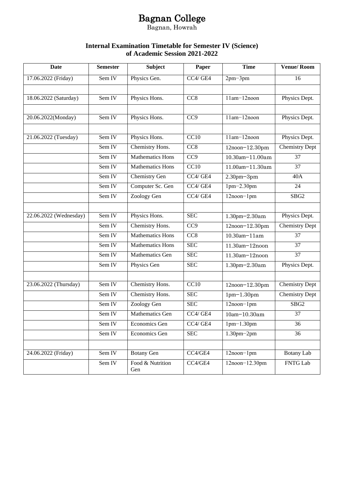### Bagnan College

Bagnan, Howrah

#### **Internal Examination Timetable for Semester IV (Science) of Academic Session 2021-2022**

| Date                   | <b>Semester</b> | <b>Subject</b>          | Paper             | <b>Time</b>       | <b>Venue/Room</b>     |
|------------------------|-----------------|-------------------------|-------------------|-------------------|-----------------------|
| 17.06.2022 (Friday)    | Sem IV          | Physics Gen.            | CC4/GE4           | $2pm-3pm$         | 16                    |
|                        |                 |                         |                   |                   |                       |
| 18.06.2022 (Saturday)  | Sem IV          | Physics Hons.           | CC <sub>8</sub>   | 11am-12noon       | Physics Dept.         |
|                        |                 |                         |                   |                   |                       |
| 20.06.2022(Monday)     | Sem IV          | Physics Hons.           | CC <sub>9</sub>   | 11am-12noon       | Physics Dept.         |
|                        |                 |                         |                   |                   |                       |
| 21.06.2022 (Tuesday)   | Sem IV          | Physics Hons.           | CC10              | 11am-12noon       | Physics Dept.         |
|                        | Sem IV          | Chemistry Hons.         | CC <sub>8</sub>   | 12noon-12.30pm    | <b>Chemistry Dept</b> |
|                        | Sem IV          | <b>Mathematics Hons</b> | CC <sub>9</sub>   | 10.30am-11.00am   | 37                    |
|                        | Sem IV          | <b>Mathematics Hons</b> | CC10              | 11.00am-11.30am   | 37                    |
|                        | Sem IV          | Chemistry Gen           | CC4/GE4           | $2.30$ pm $-3$ pm | 40A                   |
|                        | Sem IV          | Computer Sc. Gen        | CC4/GE4           | $1pm-2.30pm$      | 24                    |
|                        | Sem IV          | Zoology Gen             | CC4/GE4           | $12$ noon- $1$ pm | SBG <sub>2</sub>      |
|                        |                 |                         |                   |                   |                       |
| 22.06.2022 (Wednesday) | Sem IV          | Physics Hons.           | <b>SEC</b>        | 1.30pm-2.30am     | Physics Dept.         |
|                        | Sem IV          | Chemistry Hons.         | CC9               | 12noon-12.30pm    | <b>Chemistry Dept</b> |
|                        | Sem IV          | Mathematics Hons        | CC <sub>8</sub>   | 10.30am-11am      | 37                    |
|                        | Sem IV          | <b>Mathematics Hons</b> | <b>SEC</b>        | 11.30am-12noon    | 37                    |
|                        | Sem IV          | <b>Mathematics Gen</b>  | <b>SEC</b>        | 11.30am-12noon    | $\overline{37}$       |
|                        | Sem IV          | Physics Gen             | <b>SEC</b>        | 1.30pm-2.30am     | Physics Dept.         |
|                        |                 |                         |                   |                   |                       |
| 23.06.2022 (Thursday)  | Sem IV          | Chemistry Hons.         | $\overline{CC10}$ | 12noon-12.30pm    | Chemistry Dept        |
|                        | Sem IV          | Chemistry Hons.         | <b>SEC</b>        | $1pm-1.30pm$      | <b>Chemistry Dept</b> |
|                        | Sem IV          | Zoology Gen             | <b>SEC</b>        | 12noon-1pm        | SBG <sub>2</sub>      |
|                        | Sem IV          | <b>Mathematics Gen</b>  | CC4/GE4           | 10am-10.30am      | 37                    |
|                        | Sem IV          | Economics Gen           | CC4/GE4           | $1pm-1.30pm$      | 36                    |
|                        | Sem IV          | Economics Gen           | <b>SEC</b>        | $1.30$ pm $-2$ pm | 36                    |
|                        |                 |                         |                   |                   |                       |
| 24.06.2022 (Friday)    | Sem IV          | <b>Botany Gen</b>       | CC4/GE4           | $12$ noon $-1$ pm | Botany Lab            |
|                        | Sem IV          | Food & Nutrition<br>Gen | CC4/GE4           | $12noon-12.30pm$  | <b>FNTG Lab</b>       |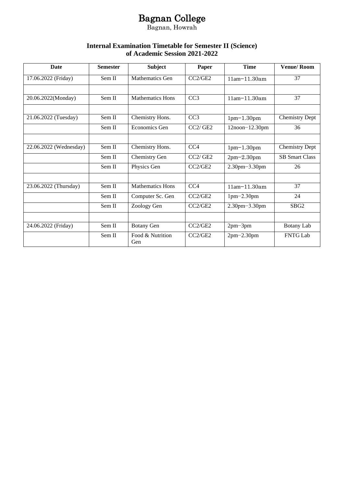## Bagnan College

Bagnan, Howrah

#### **Internal Examination Timetable for Semester II (Science) of Academic Session 2021-2022**

| <b>Date</b>            | <b>Semester</b> | <b>Subject</b>          | Paper           | <b>Time</b>           | <b>Venue/Room</b>     |
|------------------------|-----------------|-------------------------|-----------------|-----------------------|-----------------------|
| 17.06.2022 (Friday)    | Sem II          | Mathematics Gen         | CC2/GE2         | 11am-11.30am          | 37                    |
|                        |                 |                         |                 |                       |                       |
| 20.06.2022(Monday)     | Sem II          | <b>Mathematics Hons</b> | CC <sub>3</sub> | $11am - 11.30am$      | 37                    |
|                        |                 |                         |                 |                       |                       |
| 21.06.2022 (Tuesday)   | Sem II          | Chemistry Hons.         | CC3             | $1pm-1.30pm$          | <b>Chemistry Dept</b> |
|                        | Sem II          | Economics Gen           | CC2/GE2         | $12$ noon $-12.30$ pm | 36                    |
|                        |                 |                         |                 |                       |                       |
| 22.06.2022 (Wednesday) | Sem II          | Chemistry Hons.         | CC4             | $1pm-1.30pm$          | <b>Chemistry Dept</b> |
|                        | Sem II          | Chemistry Gen           | CC2/GE2         | $2pm-2.30pm$          | <b>SB Smart Class</b> |
|                        | Sem II          | Physics Gen             | CC2/GE2         | $2.30$ pm $-3.30$ pm  | 26                    |
|                        |                 |                         |                 |                       |                       |
| 23.06.2022 (Thursday)  | Sem II          | <b>Mathematics Hons</b> | CC4             | $11am - 11.30am$      | 37                    |
|                        | Sem II          | Computer Sc. Gen        | CC2/GE2         | $1pm-2.30pm$          | 24                    |
|                        | Sem II          | Zoology Gen             | CC2/GE2         | 2.30pm-3.30pm         | SBG <sub>2</sub>      |
|                        |                 |                         |                 |                       |                       |
| 24.06.2022 (Friday)    | Sem II          | <b>Botany Gen</b>       | CC2/GE2         | $2pm-3pm$             | <b>Botany Lab</b>     |
|                        | Sem II          | Food & Nutrition<br>Gen | CC2/GE2         | $2pm-2.30pm$          | <b>FNTG Lab</b>       |